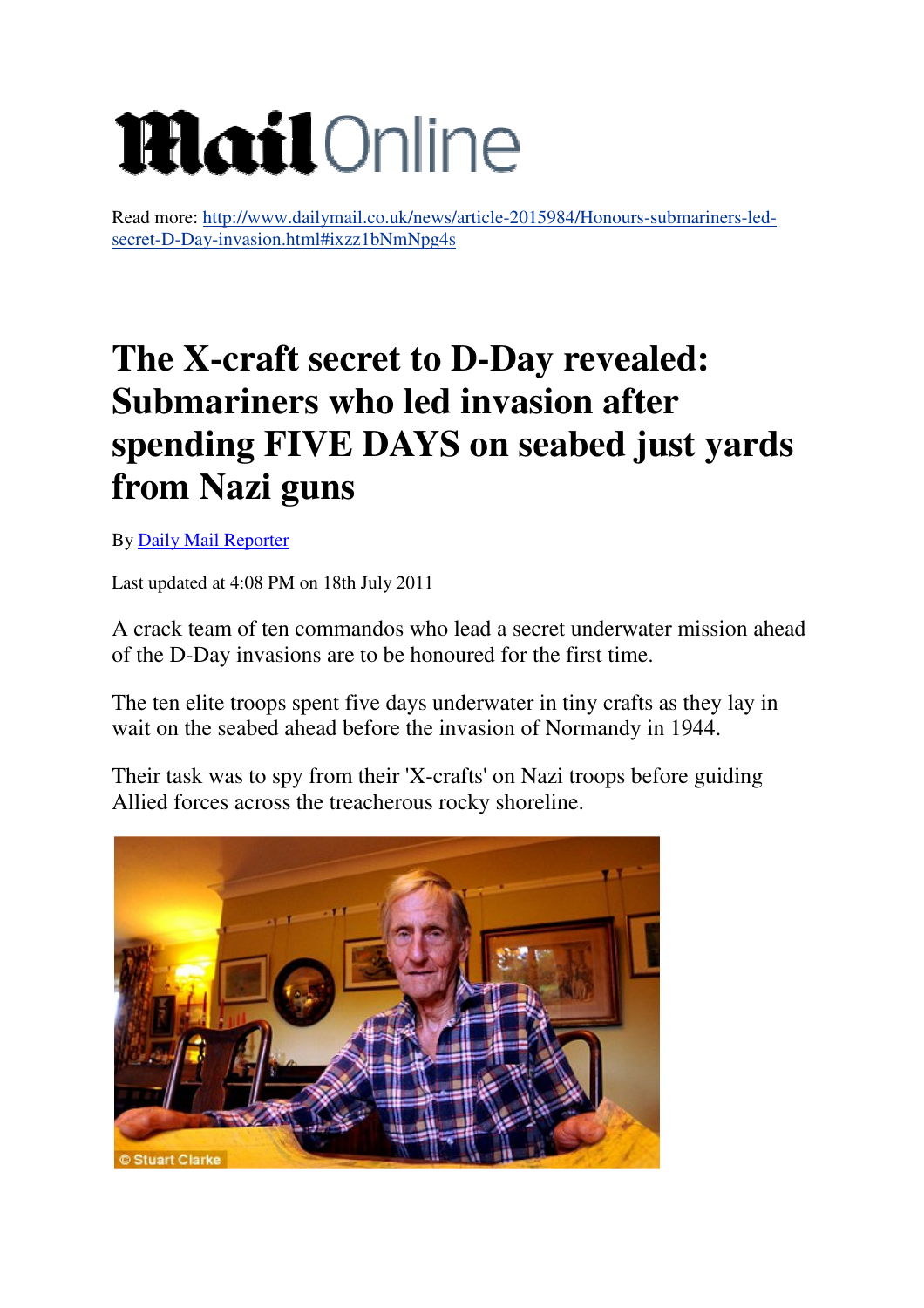## **Mail**Online

Read more: http://www.dailymail.co.uk/news/article-2015984/Honours-submariners-ledsecret-D-Day-invasion.html#ixzz1bNmNpg4s

## **The X-craft secret to D-Day revealed: Submariners who led invasion after spending FIVE DAYS on seabed just yards from Nazi guns**

By Daily Mail Reporter

Last updated at 4:08 PM on 18th July 2011

A crack team of ten commandos who lead a secret underwater mission ahead of the D-Day invasions are to be honoured for the first time.

The ten elite troops spent five days underwater in tiny crafts as they lay in wait on the seabed ahead before the invasion of Normandy in 1944.

Their task was to spy from their 'X-crafts' on Nazi troops before guiding Allied forces across the treacherous rocky shoreline.

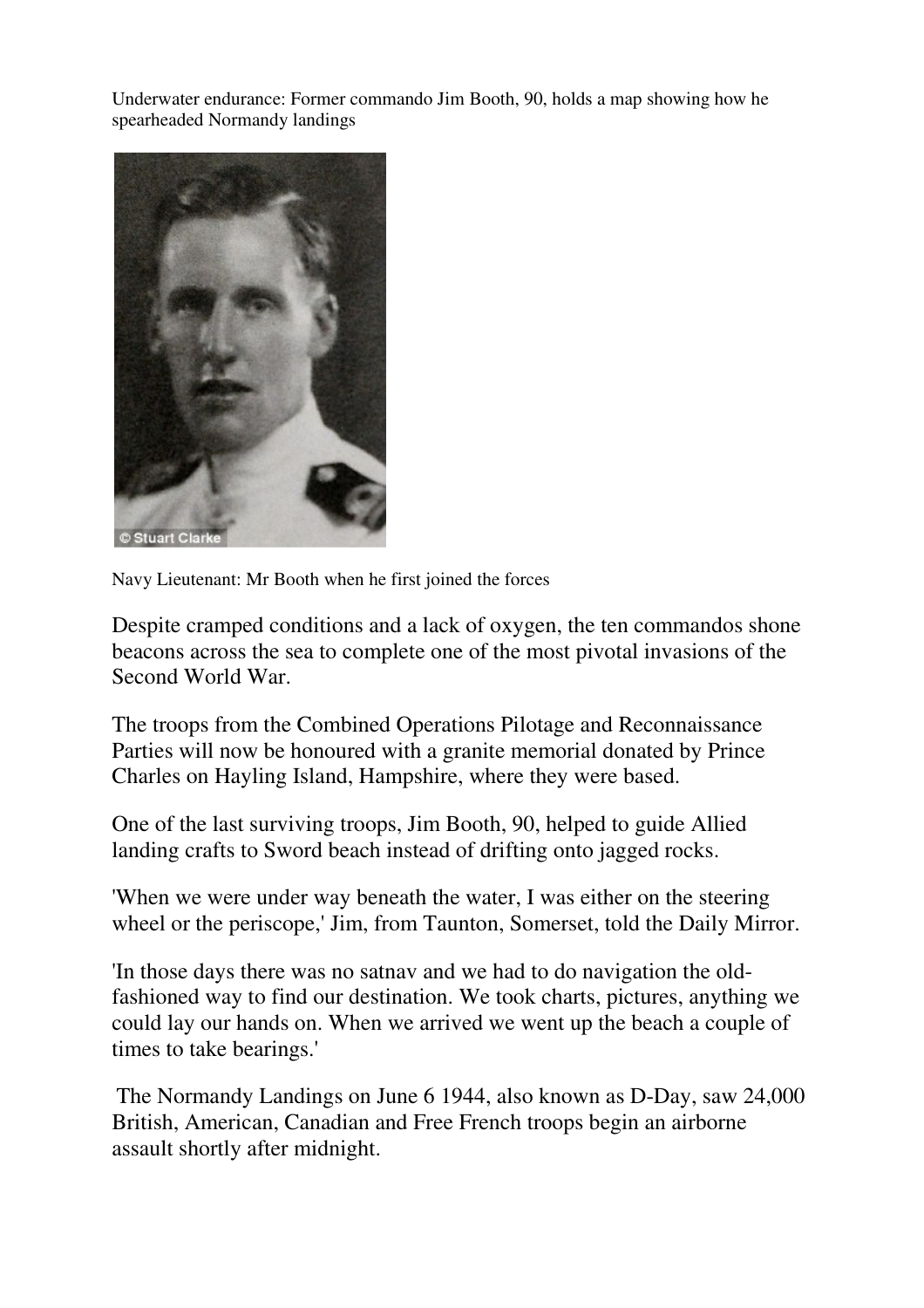Underwater endurance: Former commando Jim Booth, 90, holds a map showing how he spearheaded Normandy landings



Navy Lieutenant: Mr Booth when he first joined the forces

Despite cramped conditions and a lack of oxygen, the ten commandos shone beacons across the sea to complete one of the most pivotal invasions of the Second World War.

The troops from the Combined Operations Pilotage and Reconnaissance Parties will now be honoured with a granite memorial donated by Prince Charles on Hayling Island, Hampshire, where they were based.

One of the last surviving troops, Jim Booth, 90, helped to guide Allied landing crafts to Sword beach instead of drifting onto jagged rocks.

'When we were under way beneath the water, I was either on the steering wheel or the periscope,' Jim, from Taunton, Somerset, told the Daily Mirror.

'In those days there was no satnav and we had to do navigation the oldfashioned way to find our destination. We took charts, pictures, anything we could lay our hands on. When we arrived we went up the beach a couple of times to take bearings.'

The Normandy Landings on June 6 1944, also known as D-Day, saw 24,000 British, American, Canadian and Free French troops begin an airborne assault shortly after midnight.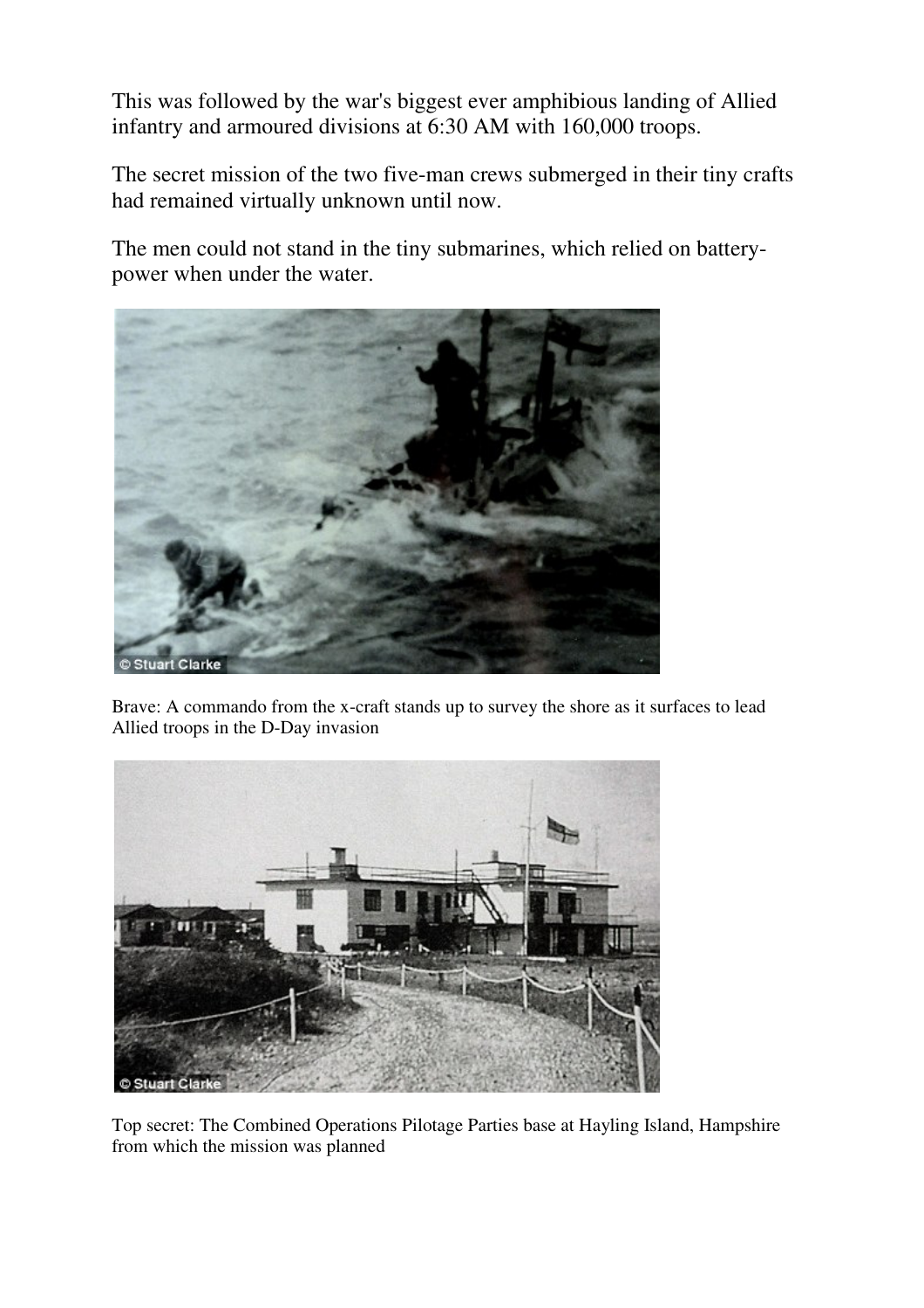This was followed by the war's biggest ever amphibious landing of Allied infantry and armoured divisions at 6:30 AM with 160,000 troops.

The secret mission of the two five-man crews submerged in their tiny crafts had remained virtually unknown until now.

The men could not stand in the tiny submarines, which relied on batterypower when under the water.



Brave: A commando from the x-craft stands up to survey the shore as it surfaces to lead Allied troops in the D-Day invasion



Top secret: The Combined Operations Pilotage Parties base at Hayling Island, Hampshire from which the mission was planned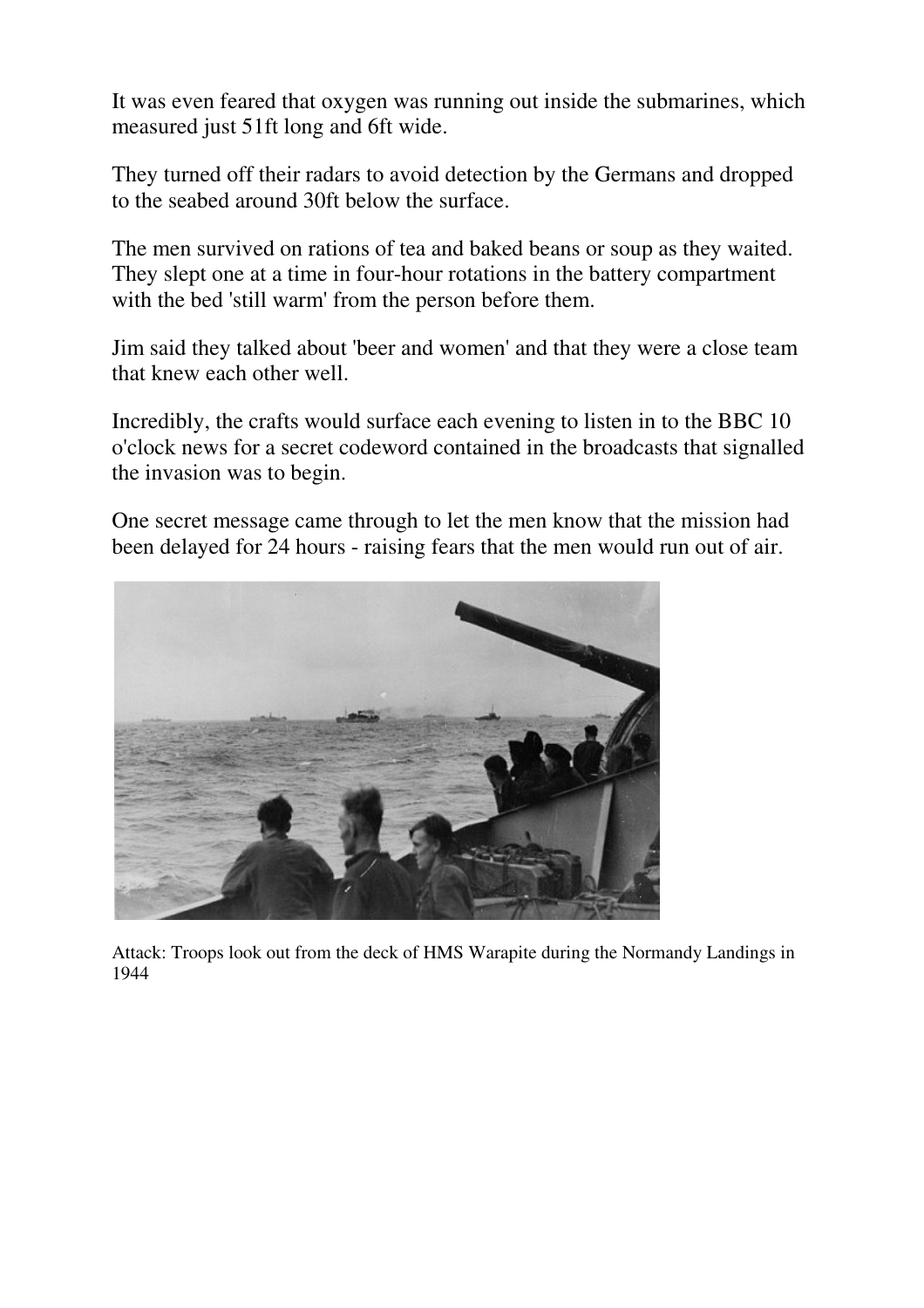It was even feared that oxygen was running out inside the submarines, which measured just 51ft long and 6ft wide.

They turned off their radars to avoid detection by the Germans and dropped to the seabed around 30ft below the surface.

The men survived on rations of tea and baked beans or soup as they waited. They slept one at a time in four-hour rotations in the battery compartment with the bed 'still warm' from the person before them.

Jim said they talked about 'beer and women' and that they were a close team that knew each other well.

Incredibly, the crafts would surface each evening to listen in to the BBC 10 o'clock news for a secret codeword contained in the broadcasts that signalled the invasion was to begin.

One secret message came through to let the men know that the mission had been delayed for 24 hours - raising fears that the men would run out of air.



Attack: Troops look out from the deck of HMS Warapite during the Normandy Landings in 1944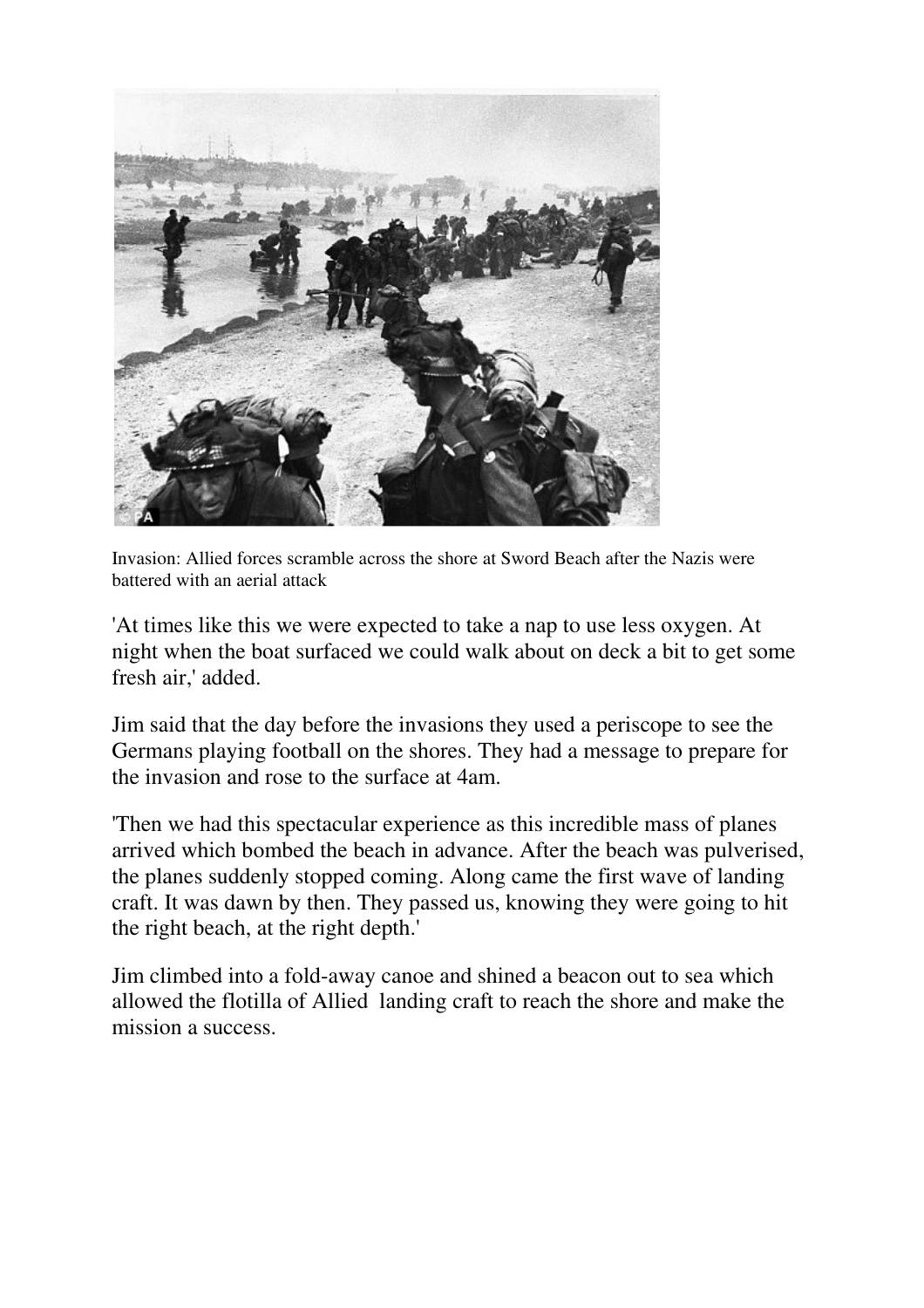

Invasion: Allied forces scramble across the shore at Sword Beach after the Nazis were battered with an aerial attack

'At times like this we were expected to take a nap to use less oxygen. At night when the boat surfaced we could walk about on deck a bit to get some fresh air,' added.

Jim said that the day before the invasions they used a periscope to see the Germans playing football on the shores. They had a message to prepare for the invasion and rose to the surface at 4am.

'Then we had this spectacular experience as this incredible mass of planes arrived which bombed the beach in advance. After the beach was pulverised, the planes suddenly stopped coming. Along came the first wave of landing craft. It was dawn by then. They passed us, knowing they were going to hit the right beach, at the right depth.'

Jim climbed into a fold-away canoe and shined a beacon out to sea which allowed the flotilla of Allied landing craft to reach the shore and make the mission a success.